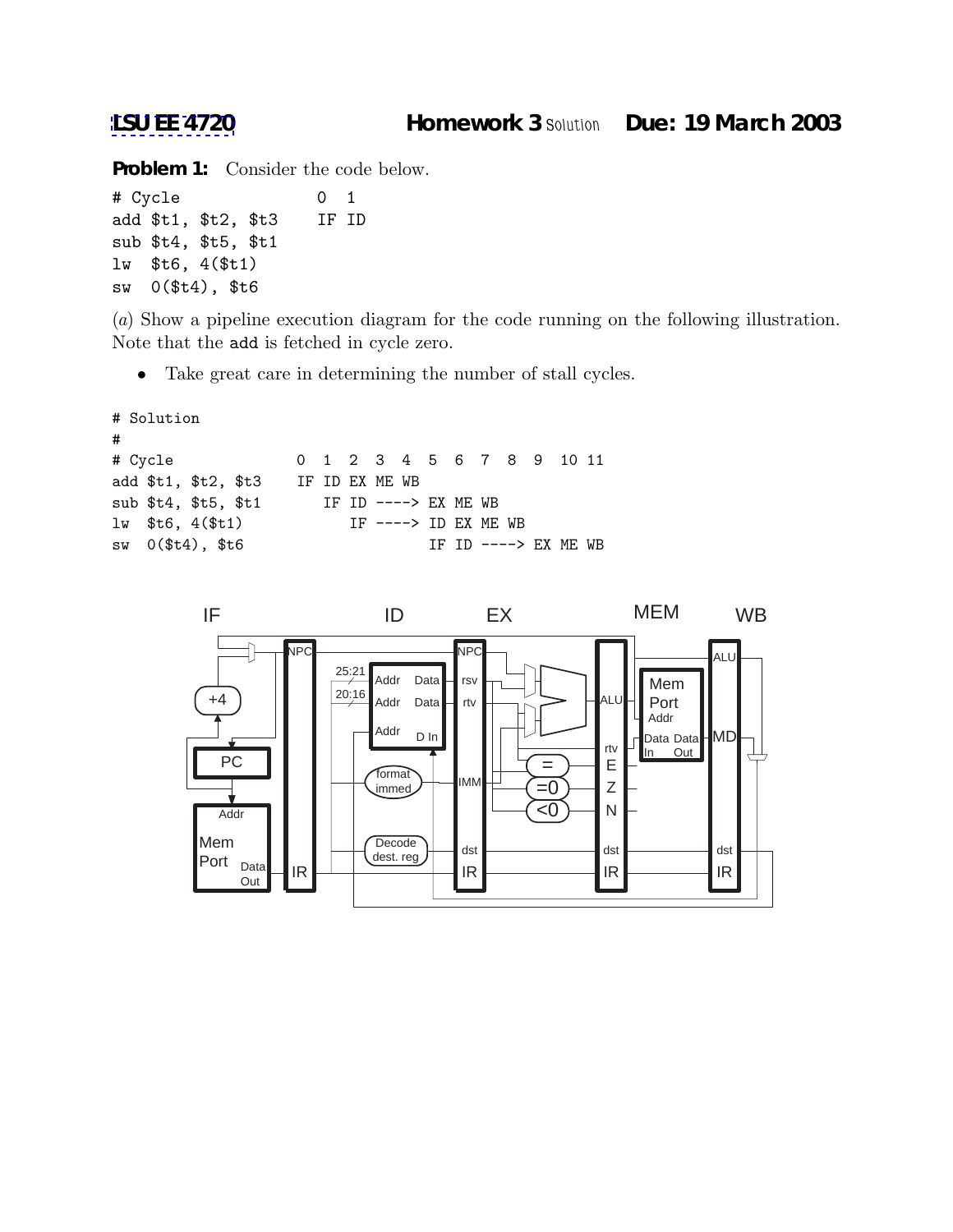**Problem 1:** Consider the code below.

```
# Cycle 0 1
add $t1, $t2, $t3 IF ID
sub $t4, $t5, $t1
lw $t6, 4($t1)
sw 0($t4), $t6
```
(*a*) Show a pipeline execution diagram for the code running on the following illustration. Note that the add is fetched in cycle zero.

• Take great care in determining the number of stall cycles.

```
# Solution
#
# Cycle 0 1 2 3 4 5 6 7 8 9 10 11
add $t1, $t2, $t3 IF ID EX ME WB
sub $t4, $t5, $t1 IF ID ----> EX ME WB
lw $t6, 4($t1) IF ----> ID EX ME WB
sw 0($t4), $t6 IF ID ----> EX ME WB
```
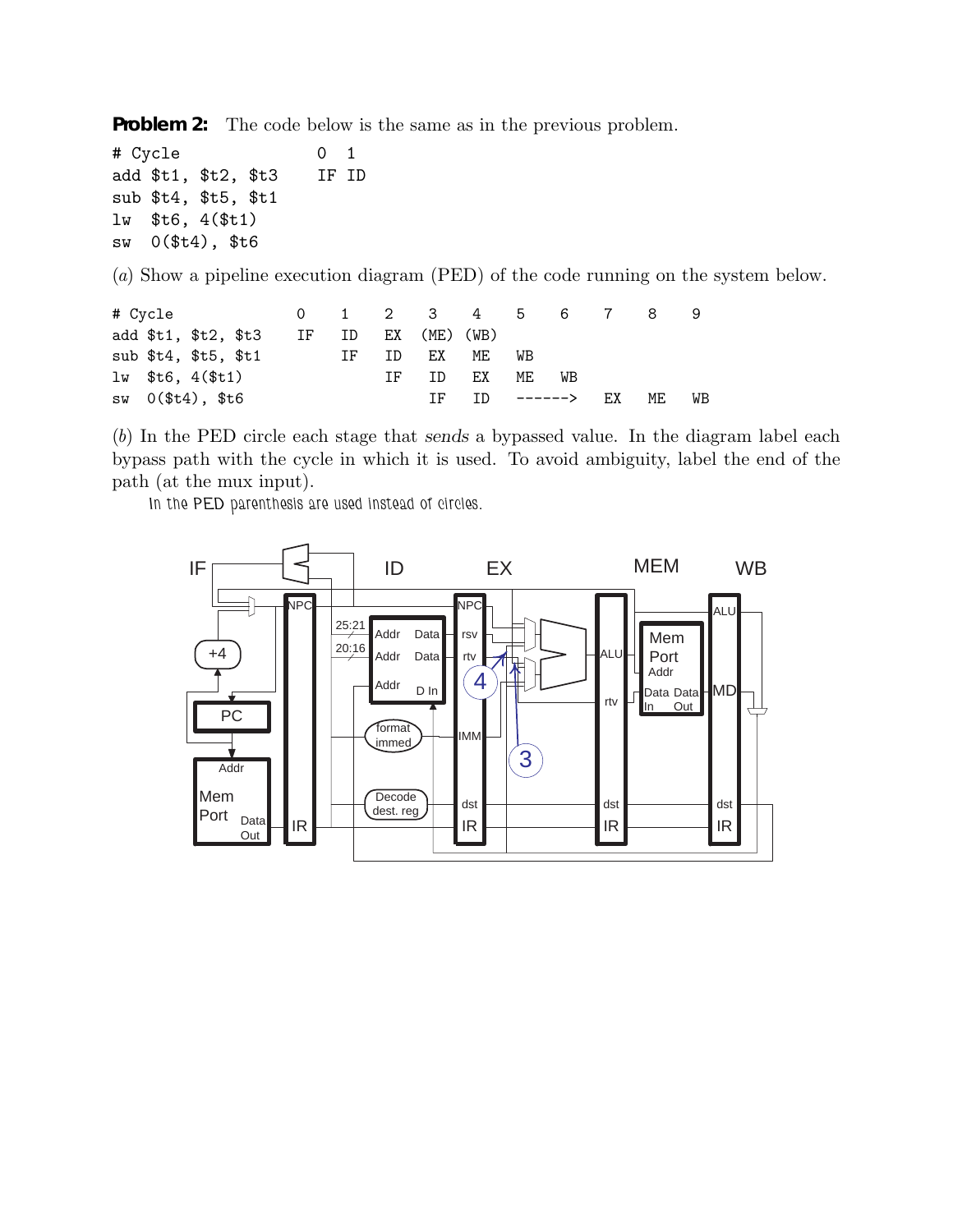**Problem 2:** The code below is the same as in the previous problem.

# Cycle 0 1 add \$t1, \$t2, \$t3 IF ID sub \$t4, \$t5, \$t1 lw \$t6, 4(\$t1) sw 0(\$t4), \$t6

(*a*) Show a pipeline execution diagram (PED) of the code running on the system below.

|                       |       |    |              |     |                  |    |    | 8   |    |
|-----------------------|-------|----|--------------|-----|------------------|----|----|-----|----|
| add \$t1, \$t2, \$t3  | IF ID |    | EX (ME) (WB) |     |                  |    |    |     |    |
| sub $$t4, $t5, $t1$   |       | IF | ID           | EX  | ME               | WB |    |     |    |
| $lw$ \$t6, $4$ (\$t1) |       |    | TF 1         | TD. | EX               | ME | WB |     |    |
| $sw \t0 ($t4), $t6$   |       |    |              |     | IF ID $---->$ EX |    |    | MF. | WB |

(*b*) In the PED circle each stage that sends a bypassed value. In the diagram label each bypass path with the cycle in which it is used. To avoid ambiguity, label the end of the path (at the mux input).

*In the PED parenthesis are used instead of circles.*

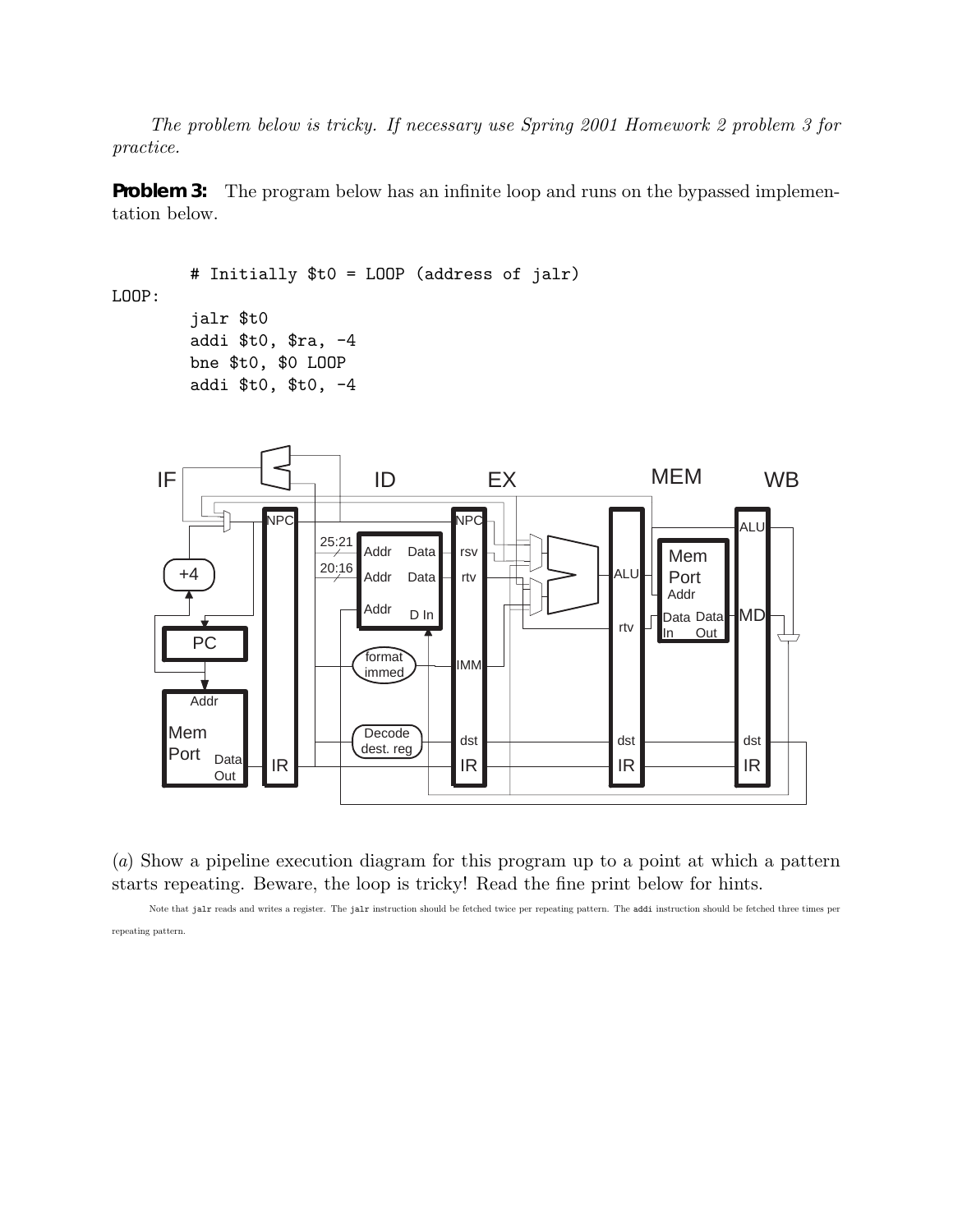*The problem below is tricky. If necessary use Spring 2001 Homework 2 problem 3 for practice.*

**Problem 3:** The program below has an infinite loop and runs on the bypassed implementation below.

```
# Initially $t0 = LOOP (address of jalr)
LOOP:
        jalr $t0
        addi $t0, $ra, -4
        bne $t0, $0 LOOP
        addi $t0, $t0, -4
```


(*a*) Show a pipeline execution diagram for this program up to a point at which a pattern starts repeating. Beware, the loop is tricky! Read the fine print below for hints.

Note that jalr reads and writes a register. The jalr instruction should be fetched twice per repeating pattern. The addi instruction should be fetched three times per repeating pattern.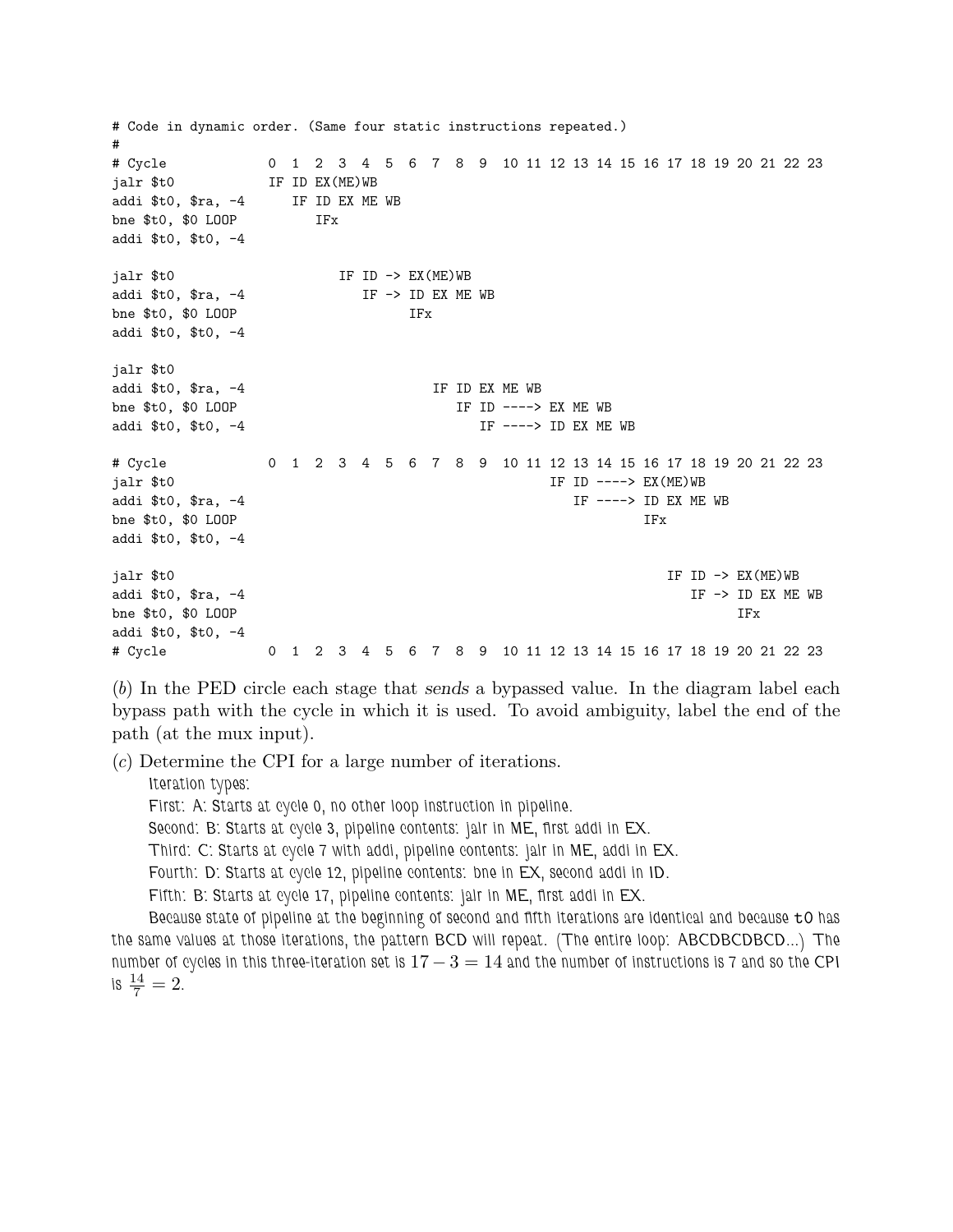# Code in dynamic order. (Same four static instructions repeated.) # # Cycle 0 1 2 3 4 5 6 7 8 9 10 11 12 13 14 15 16 17 18 19 20 21 22 23 jalr \$t0 IF ID EX(ME)WB addi \$t0, \$ra, -4 IF ID EX ME WB bne \$t0, \$0 LOOP IFx addi \$t0, \$t0, -4 jalr  $$t0$  IF ID  $\rightarrow$  EX(ME)WB addi \$t0, \$ra, -4 IF -> ID EX ME WB bne \$t0, \$0 LOOP IFx addi \$t0, \$t0, -4 jalr \$t0 addi \$t0, \$ra, -4 IF ID EX ME WB bne \$t0, \$0 LOOP 1999 IF ID ----> EX ME WB addi \$t0, \$t0, -4 IF ----> ID EX ME WB # Cycle 0 1 2 3 4 5 6 7 8 9 10 11 12 13 14 15 16 17 18 19 20 21 22 23 jalr \$t0 IF ID ----> EX(ME)WB addi \$t0, \$ra, -4 IF ----> ID EX ME WB bne \$t0, \$0 LOOP IFx addi \$t0, \$t0, -4 jalr \$t0 IF ID -> EX(ME)WB addi \$t0, \$ra, -4 IF -> ID EX ME WB bne \$t0, \$0 LOOP IFx addi \$t0, \$t0, -4 # Cycle 0 1 2 3 4 5 6 7 8 9 10 11 12 13 14 15 16 17 18 19 20 21 22 23

(*b*) In the PED circle each stage that sends a bypassed value. In the diagram label each bypass path with the cycle in which it is used. To avoid ambiguity, label the end of the path (at the mux input).

(*c*) Determine the CPI for a large number of iterations.

*Iteration types:*

*First: A: Starts at cycle 0, no other loop instruction in pipeline.*

*Second: B: Starts at cycle 3, pipeline contents: jalr in ME, first addi in EX.*

*Third: C: Starts at cycle 7 with addi, pipeline contents: jalr in ME, addi in EX.*

*Fourth: D: Starts at cycle 12, pipeline contents: bne in EX, second addi in ID.*

*Fifth: B: Starts at cycle 17, pipeline contents: jalr in ME, first addi in EX.*

*Because state of pipeline at the beginning of second and fifth iterations are identical and because* t0 *has the same values at those iterations, the pattern BCD will repeat. (The entire loop: ABCDBCDBCD...) The number of cycles in this three-iteration set is* 17 − 3 = 14 *and the number of instructions is 7 and so the CPI* is  $\frac{14}{7} = 2$ .